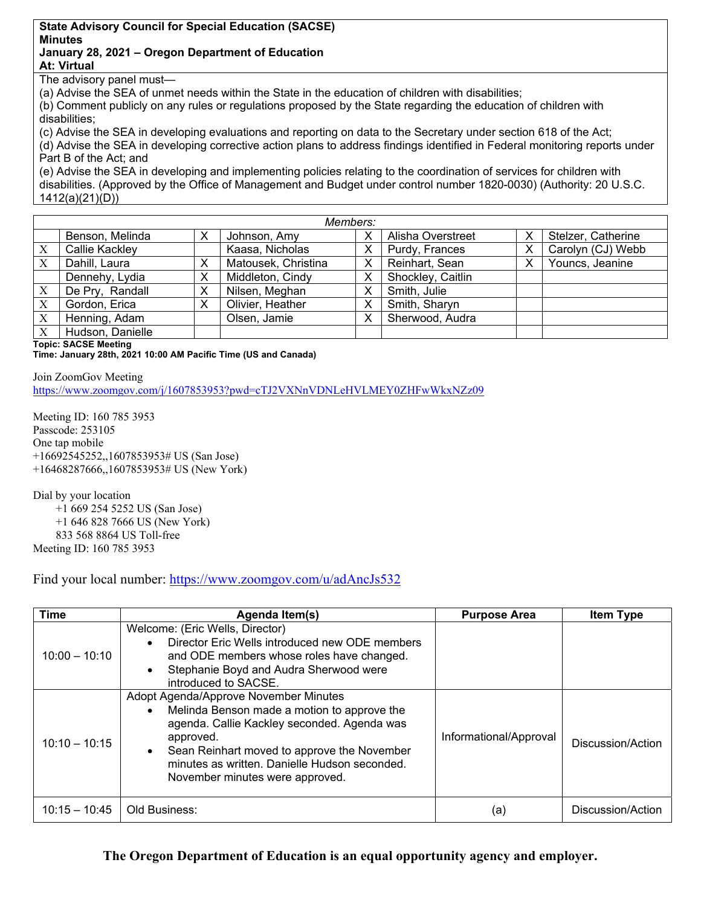## **State Advisory Council for Special Education (SACSE) Minutes January 28, 2021 – Oregon Department of Education At: Virtual**

The advisory panel must—

(a) Advise the SEA of unmet needs within the State in the education of children with disabilities;

(b) Comment publicly on any rules or regulations proposed by the State regarding the education of children with disabilities;

(c) Advise the SEA in developing evaluations and reporting on data to the Secretary under section 618 of the Act; (d) Advise the SEA in developing corrective action plans to address findings identified in Federal monitoring reports under Part B of the Act; and

(e) Advise the SEA in developing and implementing policies relating to the coordination of services for children with disabilities. (Approved by the Office of Management and Budget under control number 1820-0030) (Authority: 20 U.S.C. 1412(a)(21)(D))

| Members: |                  |   |                     |   |                   |   |                    |
|----------|------------------|---|---------------------|---|-------------------|---|--------------------|
|          | Benson, Melinda  | х | Johnson, Amy        | х | Alisha Overstreet | Χ | Stelzer, Catherine |
| Χ        | Callie Kackley   |   | Kaasa, Nicholas     | Х | Purdy, Frances    | Χ | Carolyn (CJ) Webb  |
| Χ        | Dahill, Laura    | х | Matousek, Christina | х | Reinhart, Sean    | х | Youncs, Jeanine    |
|          | Dennehy, Lydia   | х | Middleton, Cindy    | х | Shockley, Caitlin |   |                    |
| X        | De Pry, Randall  | х | Nilsen, Meghan      | Х | Smith, Julie      |   |                    |
| X        | Gordon, Erica    | х | Olivier, Heather    | х | Smith, Sharyn     |   |                    |
| X        | Henning, Adam    |   | Olsen, Jamie        | х | Sherwood, Audra   |   |                    |
| X        | Hudson, Danielle |   |                     |   |                   |   |                    |

**Topic: SACSE Meeting**

**Time: January 28th, 2021 10:00 AM Pacific Time (US and Canada)** 

Join ZoomGov Meeting https://www.zoomgov.com/j/1607853953?pwd=cTJ2VXNnVDNLeHVLMEY0ZHFwWkxNZz09

Meeting ID: 160 785 3953 Passcode: 253105 One tap mobile +16692545252,,1607853953# US (San Jose) +16468287666,,1607853953# US (New York)

Dial by your location

+1 669 254 5252 US (San Jose)

+1 646 828 7666 US (New York)

833 568 8864 US Toll-free

Meeting ID: 160 785 3953

Find your local number: https://www.zoomgov.com/u/adAncJs532

| <b>Time</b>     | Agenda Item(s)                                                                                                                                                                                                                                                                                                | <b>Purpose Area</b>    | <b>Item Type</b>  |
|-----------------|---------------------------------------------------------------------------------------------------------------------------------------------------------------------------------------------------------------------------------------------------------------------------------------------------------------|------------------------|-------------------|
| $10:00 - 10:10$ | Welcome: (Eric Wells, Director)<br>Director Eric Wells introduced new ODE members<br>$\bullet$<br>and ODE members whose roles have changed.<br>Stephanie Boyd and Audra Sherwood were<br>$\bullet$<br>introduced to SACSE.                                                                                    |                        |                   |
| $10:10 - 10:15$ | Adopt Agenda/Approve November Minutes<br>Melinda Benson made a motion to approve the<br>$\bullet$<br>agenda. Callie Kackley seconded. Agenda was<br>approved.<br>Sean Reinhart moved to approve the November<br>$\bullet$<br>minutes as written. Danielle Hudson seconded.<br>November minutes were approved. | Informational/Approval | Discussion/Action |
| $10:15 - 10:45$ | Old Business:                                                                                                                                                                                                                                                                                                 | (a)                    | Discussion/Action |

**The Oregon Department of Education is an equal opportunity agency and employer.**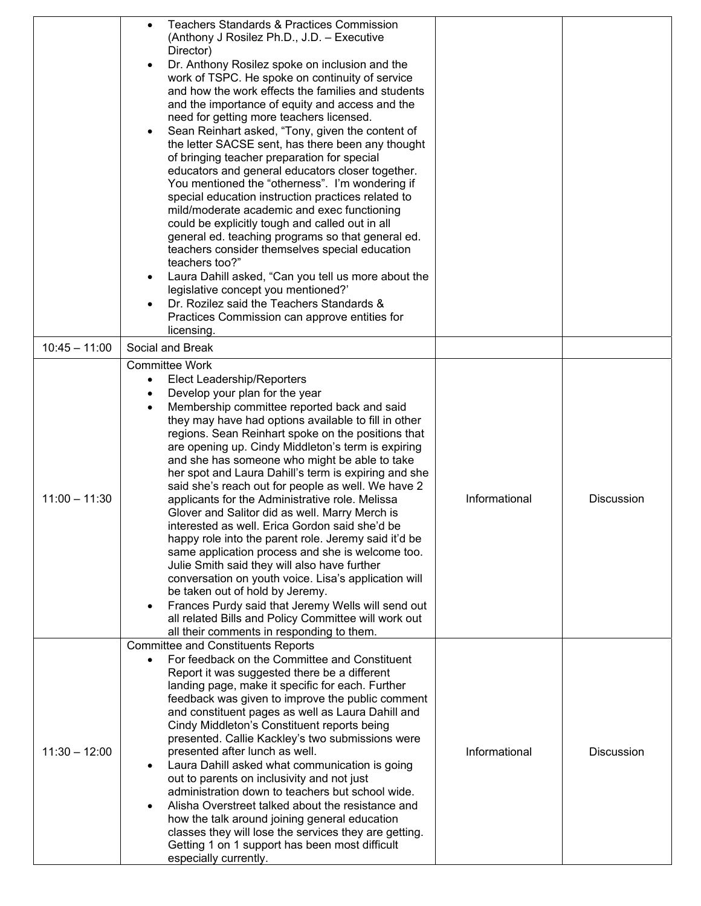|                 | <b>Teachers Standards &amp; Practices Commission</b>                                                  |               |                   |
|-----------------|-------------------------------------------------------------------------------------------------------|---------------|-------------------|
|                 | (Anthony J Rosilez Ph.D., J.D. - Executive                                                            |               |                   |
|                 | Director)                                                                                             |               |                   |
|                 | Dr. Anthony Rosilez spoke on inclusion and the                                                        |               |                   |
|                 | work of TSPC. He spoke on continuity of service                                                       |               |                   |
|                 | and how the work effects the families and students                                                    |               |                   |
|                 | and the importance of equity and access and the                                                       |               |                   |
|                 | need for getting more teachers licensed.                                                              |               |                   |
|                 | Sean Reinhart asked, "Tony, given the content of<br>the letter SACSE sent, has there been any thought |               |                   |
|                 | of bringing teacher preparation for special                                                           |               |                   |
|                 | educators and general educators closer together.                                                      |               |                   |
|                 | You mentioned the "otherness". I'm wondering if                                                       |               |                   |
|                 | special education instruction practices related to                                                    |               |                   |
|                 | mild/moderate academic and exec functioning                                                           |               |                   |
|                 | could be explicitly tough and called out in all                                                       |               |                   |
|                 | general ed. teaching programs so that general ed.                                                     |               |                   |
|                 | teachers consider themselves special education                                                        |               |                   |
|                 | teachers too?"                                                                                        |               |                   |
|                 | Laura Dahill asked, "Can you tell us more about the<br>legislative concept you mentioned?'            |               |                   |
|                 | Dr. Rozilez said the Teachers Standards &                                                             |               |                   |
|                 | Practices Commission can approve entities for                                                         |               |                   |
|                 | licensing.                                                                                            |               |                   |
| $10:45 - 11:00$ | Social and Break                                                                                      |               |                   |
|                 | <b>Committee Work</b>                                                                                 |               |                   |
|                 | Elect Leadership/Reporters<br>$\bullet$                                                               |               |                   |
|                 | Develop your plan for the year                                                                        |               |                   |
|                 | Membership committee reported back and said                                                           |               |                   |
|                 | they may have had options available to fill in other                                                  |               |                   |
|                 | regions. Sean Reinhart spoke on the positions that                                                    |               |                   |
|                 | are opening up. Cindy Middleton's term is expiring<br>and she has someone who might be able to take   |               |                   |
|                 | her spot and Laura Dahill's term is expiring and she                                                  |               |                   |
|                 | said she's reach out for people as well. We have 2                                                    |               |                   |
| $11:00 - 11:30$ | applicants for the Administrative role. Melissa                                                       | Informational | <b>Discussion</b> |
|                 | Glover and Salitor did as well. Marry Merch is                                                        |               |                   |
|                 | interested as well. Erica Gordon said she'd be                                                        |               |                   |
|                 | happy role into the parent role. Jeremy said it'd be                                                  |               |                   |
|                 | same application process and she is welcome too.                                                      |               |                   |
|                 | Julie Smith said they will also have further                                                          |               |                   |
|                 | conversation on youth voice. Lisa's application will<br>be taken out of hold by Jeremy.               |               |                   |
|                 | Frances Purdy said that Jeremy Wells will send out                                                    |               |                   |
|                 | all related Bills and Policy Committee will work out                                                  |               |                   |
|                 | all their comments in responding to them.                                                             |               |                   |
|                 | <b>Committee and Constituents Reports</b>                                                             |               |                   |
|                 | For feedback on the Committee and Constituent                                                         |               |                   |
|                 | Report it was suggested there be a different                                                          |               |                   |
|                 | landing page, make it specific for each. Further<br>feedback was given to improve the public comment  |               |                   |
|                 | and constituent pages as well as Laura Dahill and                                                     |               |                   |
|                 | Cindy Middleton's Constituent reports being                                                           |               |                   |
|                 | presented. Callie Kackley's two submissions were                                                      |               |                   |
| $11:30 - 12:00$ | presented after lunch as well.                                                                        | Informational | <b>Discussion</b> |
|                 | Laura Dahill asked what communication is going                                                        |               |                   |
|                 | out to parents on inclusivity and not just                                                            |               |                   |
|                 | administration down to teachers but school wide.<br>Alisha Overstreet talked about the resistance and |               |                   |
|                 | how the talk around joining general education                                                         |               |                   |
|                 | classes they will lose the services they are getting.                                                 |               |                   |
|                 | Getting 1 on 1 support has been most difficult                                                        |               |                   |
|                 | especially currently.                                                                                 |               |                   |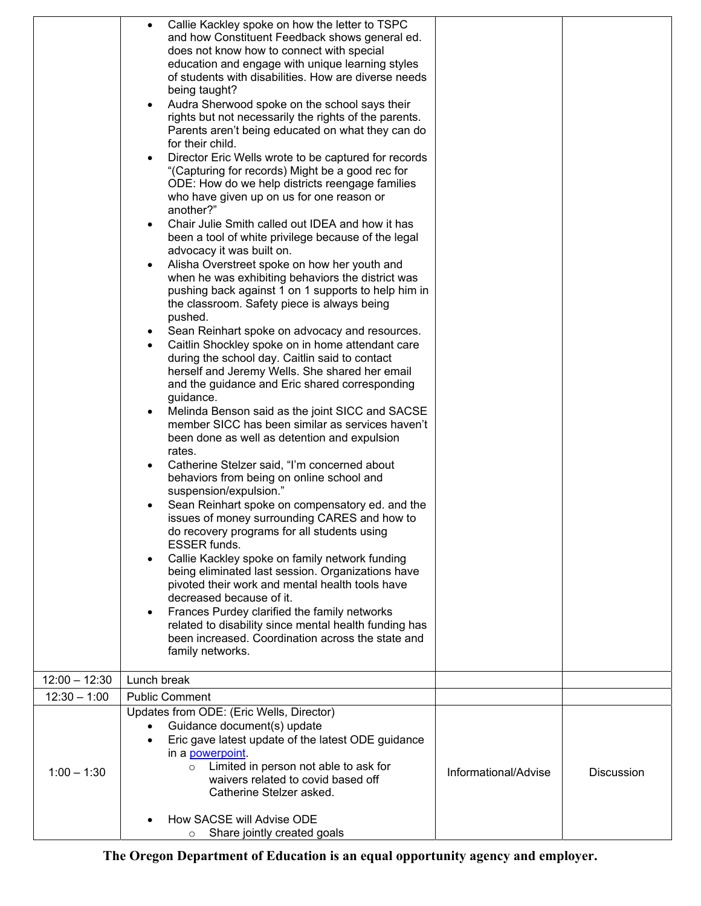|                 | Callie Kackley spoke on how the letter to TSPC<br>$\bullet$<br>and how Constituent Feedback shows general ed.<br>does not know how to connect with special<br>education and engage with unique learning styles<br>of students with disabilities. How are diverse needs<br>being taught?<br>Audra Sherwood spoke on the school says their<br>$\bullet$<br>rights but not necessarily the rights of the parents.<br>Parents aren't being educated on what they can do<br>for their child.<br>Director Eric Wells wrote to be captured for records<br>$\bullet$<br>"(Capturing for records) Might be a good rec for<br>ODE: How do we help districts reengage families<br>who have given up on us for one reason or<br>another?"<br>Chair Julie Smith called out IDEA and how it has<br>$\bullet$<br>been a tool of white privilege because of the legal<br>advocacy it was built on.<br>Alisha Overstreet spoke on how her youth and<br>$\bullet$<br>when he was exhibiting behaviors the district was<br>pushing back against 1 on 1 supports to help him in<br>the classroom. Safety piece is always being<br>pushed.<br>Sean Reinhart spoke on advocacy and resources.<br>٠<br>Caitlin Shockley spoke on in home attendant care<br>$\bullet$<br>during the school day. Caitlin said to contact<br>herself and Jeremy Wells. She shared her email<br>and the guidance and Eric shared corresponding<br>guidance.<br>Melinda Benson said as the joint SICC and SACSE<br>$\bullet$<br>member SICC has been similar as services haven't<br>been done as well as detention and expulsion<br>rates.<br>Catherine Stelzer said, "I'm concerned about<br>$\bullet$<br>behaviors from being on online school and<br>suspension/expulsion."<br>Sean Reinhart spoke on compensatory ed. and the<br>issues of money surrounding CARES and how to<br>do recovery programs for all students using<br><b>ESSER funds.</b> |                      |                   |
|-----------------|-------------------------------------------------------------------------------------------------------------------------------------------------------------------------------------------------------------------------------------------------------------------------------------------------------------------------------------------------------------------------------------------------------------------------------------------------------------------------------------------------------------------------------------------------------------------------------------------------------------------------------------------------------------------------------------------------------------------------------------------------------------------------------------------------------------------------------------------------------------------------------------------------------------------------------------------------------------------------------------------------------------------------------------------------------------------------------------------------------------------------------------------------------------------------------------------------------------------------------------------------------------------------------------------------------------------------------------------------------------------------------------------------------------------------------------------------------------------------------------------------------------------------------------------------------------------------------------------------------------------------------------------------------------------------------------------------------------------------------------------------------------------------------------------------------------------------------------------------------------------------------------------------------------|----------------------|-------------------|
|                 | Callie Kackley spoke on family network funding<br>$\bullet$<br>being eliminated last session. Organizations have<br>pivoted their work and mental health tools have<br>decreased because of it.<br>Frances Purdey clarified the family networks<br>$\bullet$<br>related to disability since mental health funding has                                                                                                                                                                                                                                                                                                                                                                                                                                                                                                                                                                                                                                                                                                                                                                                                                                                                                                                                                                                                                                                                                                                                                                                                                                                                                                                                                                                                                                                                                                                                                                                       |                      |                   |
|                 | been increased. Coordination across the state and<br>family networks.                                                                                                                                                                                                                                                                                                                                                                                                                                                                                                                                                                                                                                                                                                                                                                                                                                                                                                                                                                                                                                                                                                                                                                                                                                                                                                                                                                                                                                                                                                                                                                                                                                                                                                                                                                                                                                       |                      |                   |
| $12:00 - 12:30$ | Lunch break                                                                                                                                                                                                                                                                                                                                                                                                                                                                                                                                                                                                                                                                                                                                                                                                                                                                                                                                                                                                                                                                                                                                                                                                                                                                                                                                                                                                                                                                                                                                                                                                                                                                                                                                                                                                                                                                                                 |                      |                   |
| $12:30 - 1:00$  | <b>Public Comment</b>                                                                                                                                                                                                                                                                                                                                                                                                                                                                                                                                                                                                                                                                                                                                                                                                                                                                                                                                                                                                                                                                                                                                                                                                                                                                                                                                                                                                                                                                                                                                                                                                                                                                                                                                                                                                                                                                                       |                      |                   |
| $1:00 - 1:30$   | Updates from ODE: (Eric Wells, Director)<br>Guidance document(s) update<br>Eric gave latest update of the latest ODE guidance<br>$\bullet$<br>in a <b>powerpoint</b> .<br>Limited in person not able to ask for<br>$\circ$<br>waivers related to covid based off<br>Catherine Stelzer asked.                                                                                                                                                                                                                                                                                                                                                                                                                                                                                                                                                                                                                                                                                                                                                                                                                                                                                                                                                                                                                                                                                                                                                                                                                                                                                                                                                                                                                                                                                                                                                                                                                | Informational/Advise | <b>Discussion</b> |
|                 | How SACSE will Advise ODE<br>Share jointly created goals<br>$\circ$                                                                                                                                                                                                                                                                                                                                                                                                                                                                                                                                                                                                                                                                                                                                                                                                                                                                                                                                                                                                                                                                                                                                                                                                                                                                                                                                                                                                                                                                                                                                                                                                                                                                                                                                                                                                                                         |                      |                   |

**The Oregon Department of Education is an equal opportunity agency and employer.**